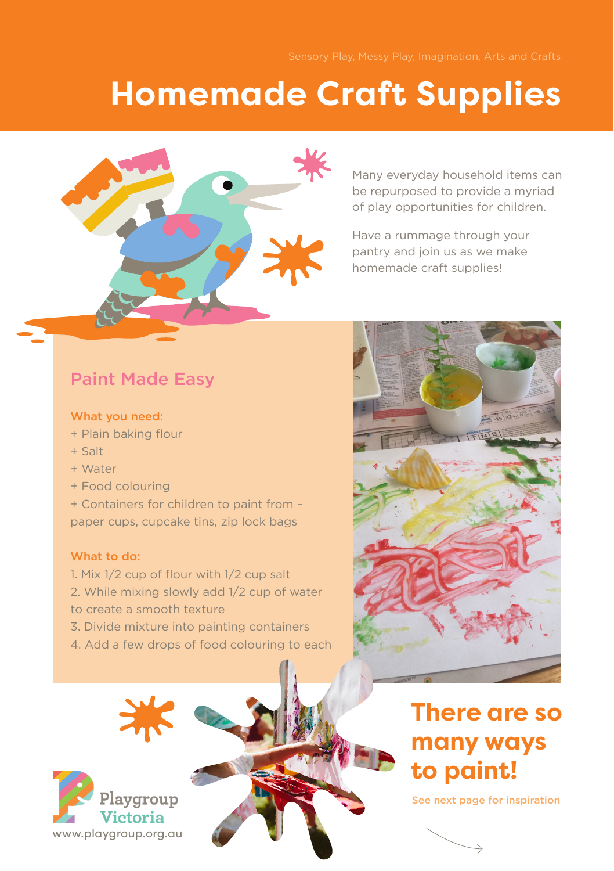# **Homemade Craft Supplies**



Many everyday household items can be repurposed to provide a myriad of play opportunities for children.

Have a rummage through your pantry and join us as we make homemade craft supplies!

# Paint Made Easy

#### What you need:

- + Plain baking flour
- $+$  Salt
- + Water
- + Food colouring

+ Containers for children to paint from – paper cups, cupcake tins, zip lock bags

#### What to do:

- 1. Mix 1/2 cup of flour with 1/2 cup salt 2. While mixing slowly add 1/2 cup of water to create a smooth texture
- 3. Divide mixture into painting containers
- 4. Add a few drops of food colouring to each





# **There are so many ways to paint!**

See next page for inspiration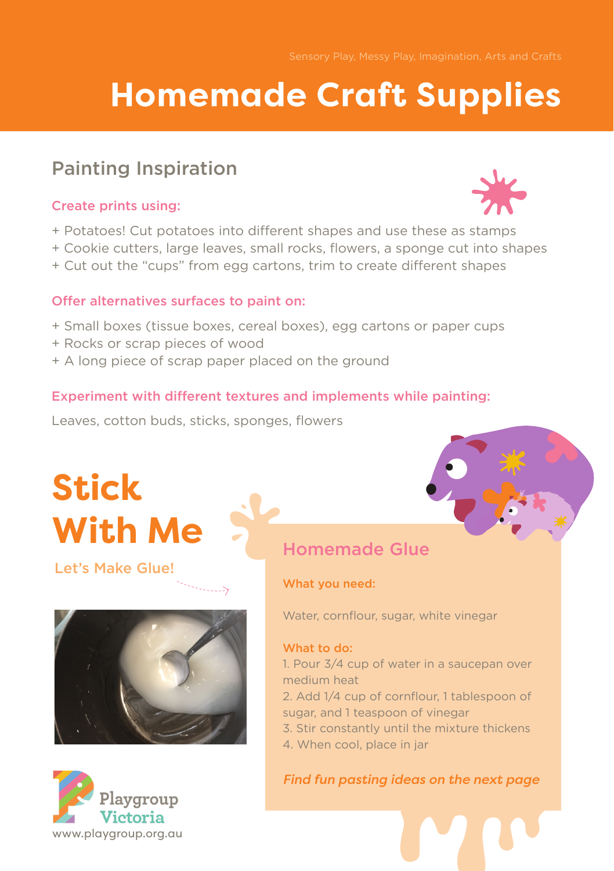# **Homemade Craft Supplies**

# Painting Inspiration

## Create prints using:

- + Potatoes! Cut potatoes into different shapes and use these as stamps
- + Cookie cutters, large leaves, small rocks, flowers, a sponge cut into shapes
- + Cut out the "cups" from egg cartons, trim to create different shapes

### Offer alternatives surfaces to paint on:

- + Small boxes (tissue boxes, cereal boxes), egg cartons or paper cups
- + Rocks or scrap pieces of wood
- + A long piece of scrap paper placed on the ground

### Experiment with different textures and implements while painting:

Leaves, cotton buds, sticks, sponges, flowers

# **Stick With Me**

# Let's Make Glue!





# Homemade Glue

#### What you need:

Water, cornflour, sugar, white vinegar

#### What to do:

1. Pour 3/4 cup of water in a saucepan over medium heat

- 2. Add 1/4 cup of cornflour, 1 tablespoon of sugar, and 1 teaspoon of vinegar
- 3. Stir constantly until the mixture thickens
- 4. When cool, place in jar

### *Find fun pasting ideas on the next page*